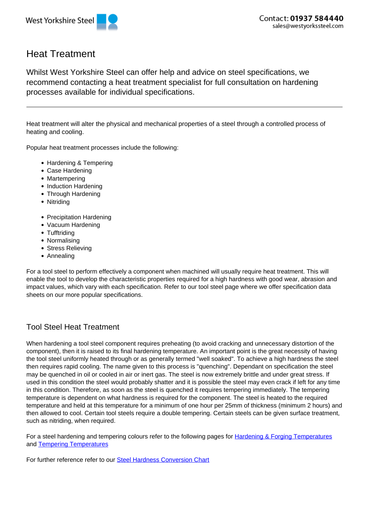



## Heat Treatment

Whilst West Yorkshire Steel can offer help and advice on steel specifications, we recommend contacting a heat treatment specialist for full consultation on hardening processes available for individual specifications.

Heat treatment will alter the physical and mechanical properties of a steel through a controlled process of heating and cooling.

Popular heat treatment processes include the following:

- Hardening & Tempering
- Case Hardening
- Martempering
- Induction Hardening
- Through Hardening
- Nitriding
- Precipitation Hardening
- Vacuum Hardening
- Tufftriding
- Normalising
- Stress Relieving
- Annealing

For a tool steel to perform effectively a component when machined will usually require heat treatment. This will enable the tool to develop the characteristic properties required for a high hardness with good wear, abrasion and impact values, which vary with each specification. Refer to our tool steel page where we offer specification data sheets on our more popular specifications.

## Tool Steel Heat Treatment

When hardening a tool steel component requires preheating (to avoid cracking and unnecessary distortion of the component), then it is raised to its final hardening temperature. An important point is the great necessity of having the tool steel uniformly heated through or as generally termed "well soaked". To achieve a high hardness the steel then requires rapid cooling. The name given to this process is "quenching". Dependant on specification the steel may be quenched in oil or cooled in air or inert gas. The steel is now extremely brittle and under great stress. If used in this condition the steel would probably shatter and it is possible the steel may even crack if left for any time in this condition. Therefore, as soon as the steel is quenched it requires tempering immediately. The tempering temperature is dependent on what hardness is required for the component. The steel is heated to the required temperature and held at this temperature for a minimum of one hour per 25mm of thickness (minimum 2 hours) and then allowed to cool. Certain tool steels require a double tempering. Certain steels can be given surface treatment, such as nitriding, when required.

For a steel hardening and tempering colours refer to the following pages for **Hardening & Forging Temperatures** and Tempering Temperatures

For further reference refer to our Steel Hardness Conversion Chart